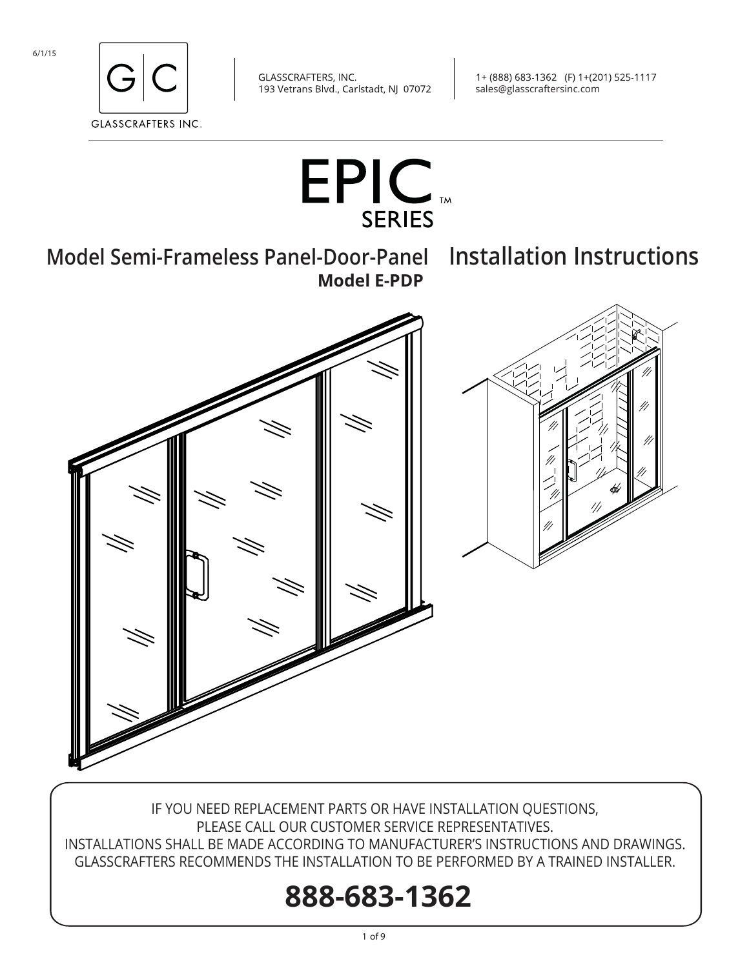

1+ (888) 683-1362 (F) 1+(201) 525-1117 sales@glasscraftersinc.com



**Model Semi-Frameless Panel-Door-Panel Installation Instructions Model E-PDP** 



IF YOU NEED REPLACEMENT PARTS OR HAVE INSTALLATION QUESTIONS, PLEASE CALL OUR CUSTOMER SERVICE REPRESENTATIVES. INSTALLATIONS SHALL BE MADE ACCORDING TO MANUFACTURER'S INSTRUCTIONS AND DRAWINGS. GLASSCRAFTERS RECOMMENDS THE INSTALLATION TO BE PERFORMED BY A TRAINED INSTALLER.

# **888-683-1362**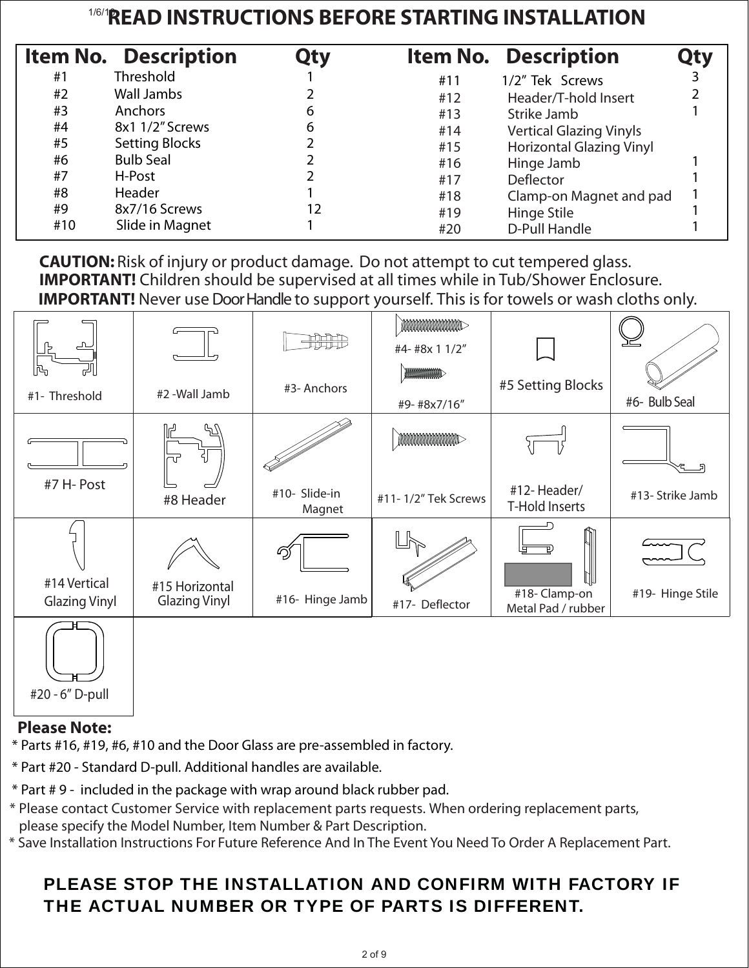## 1/6/1**READ INSTRUCTIONS BEFORE STARTING INSTALLATION**

|     | <b>Item No. Description</b> | Qty |     | <b>Item No. Description</b>     | <b>Qty</b> |
|-----|-----------------------------|-----|-----|---------------------------------|------------|
| #1  | <b>Threshold</b>            |     | #11 | 1/2" Tek Screws                 |            |
| #2  | Wall Jambs                  |     | #12 | Header/T-hold Insert            |            |
| #3  | Anchors                     | 6   | #13 | Strike Jamb                     |            |
| #4  | 8x1 1/2" Screws             | 6   | #14 | <b>Vertical Glazing Vinyls</b>  |            |
| #5  | <b>Setting Blocks</b>       |     | #15 | <b>Horizontal Glazing Vinyl</b> |            |
| #6  | <b>Bulb Seal</b>            |     | #16 | Hinge Jamb                      |            |
| #7  | H-Post                      |     | #17 | Deflector                       |            |
| #8  | Header                      |     | #18 | Clamp-on Magnet and pad         |            |
| #9  | 8x7/16 Screws               | 12  | #19 | Hinge Stile                     |            |
| #10 | Slide in Magnet             |     | #20 | D-Pull Handle                   |            |

 **CAUTION:** Risk of injury or product damage. Do not attempt to cut tempered glass. **IMPORTANT!** Children should be supervised at all times while in Tub/Shower Enclosure. **IMPORTANT!** Never use Door Handle to support yourself. This is for towels or wash cloths only.

| $\Gamma$                    |                                        | <b>HHHH</b>             | MMMMMMM<br>#4- #8x 1 1/2" |                                    | <u>고드</u>        |
|-----------------------------|----------------------------------------|-------------------------|---------------------------|------------------------------------|------------------|
| ld<br>اللہ<br>#1- Threshold | #2 -Wall Jamb                          | #3- Anchors             | MANAMANANA<br>#9-#8x7/16" | #5 Setting Blocks                  | #6- Bulb Seal    |
|                             | ᠲᡗ<br>πr                               |                         | <b>MMMMMMMMMMM</b>        |                                    |                  |
| #7 H- Post                  | #8 Header                              | #10- Slide-in<br>Magnet | #11-1/2" Tek Screws       | #12-Header/<br>T-Hold Inserts      | #13- Strike Jamb |
| #14 Vertical                |                                        | වු                      |                           | $\prod\limits_{i=1}^n$             |                  |
| <b>Glazing Vinyl</b>        | #15 Horizontal<br><b>Glazing Vinyl</b> | #16- Hinge Jamb         | #17- Deflector            | #18-Clamp-on<br>Metal Pad / rubber | #19- Hinge Stile |
|                             |                                        |                         |                           |                                    |                  |

### **Please Note:**

#20 - 6" D-pull

\* Parts #16, #19, #6, #10 and the Door Glass are pre-assembled in factory.

- \* Part #20 Standard D-pull. Additional handles are available.
- \* Part # 9 included in the package with wrap around black rubber pad.
- \* Please contact Customer Service with replacement parts requests. When ordering replacement parts, please specify the Model Number, Item Number & Part Description.

\* Save Installation Instructions For Future Reference And In The Event You Need To Order A Replacement Part.

## PLEASE STOP THE INSTALLATION AND CONFIRM WITH FACTORY IF THE ACTUAL NUMBER OR TYPE OF PARTS IS DIFFERENT.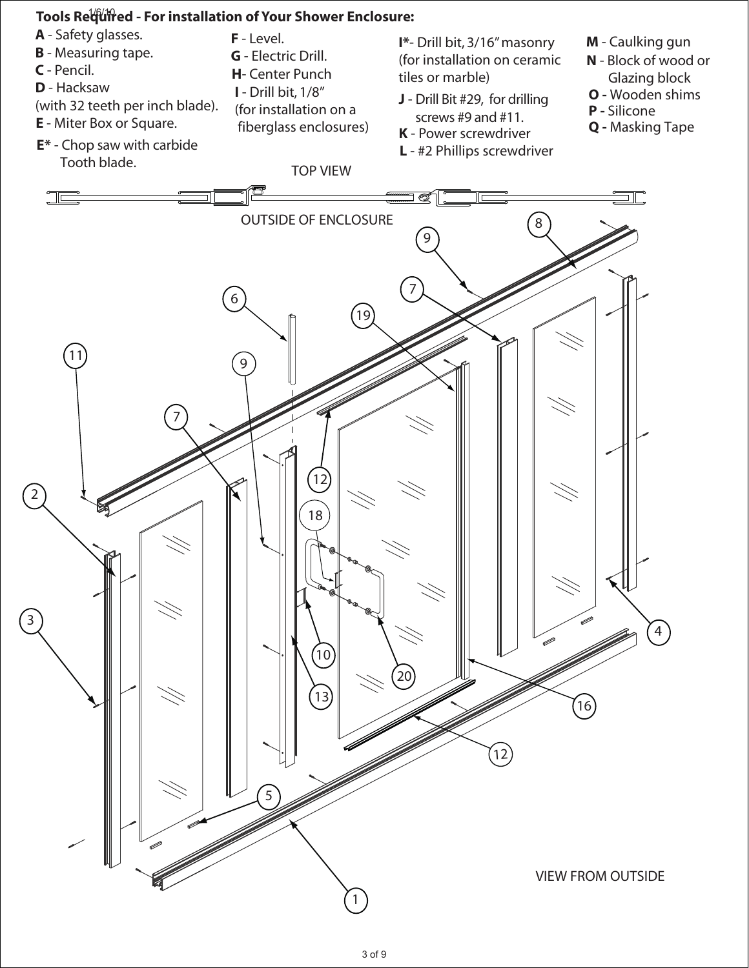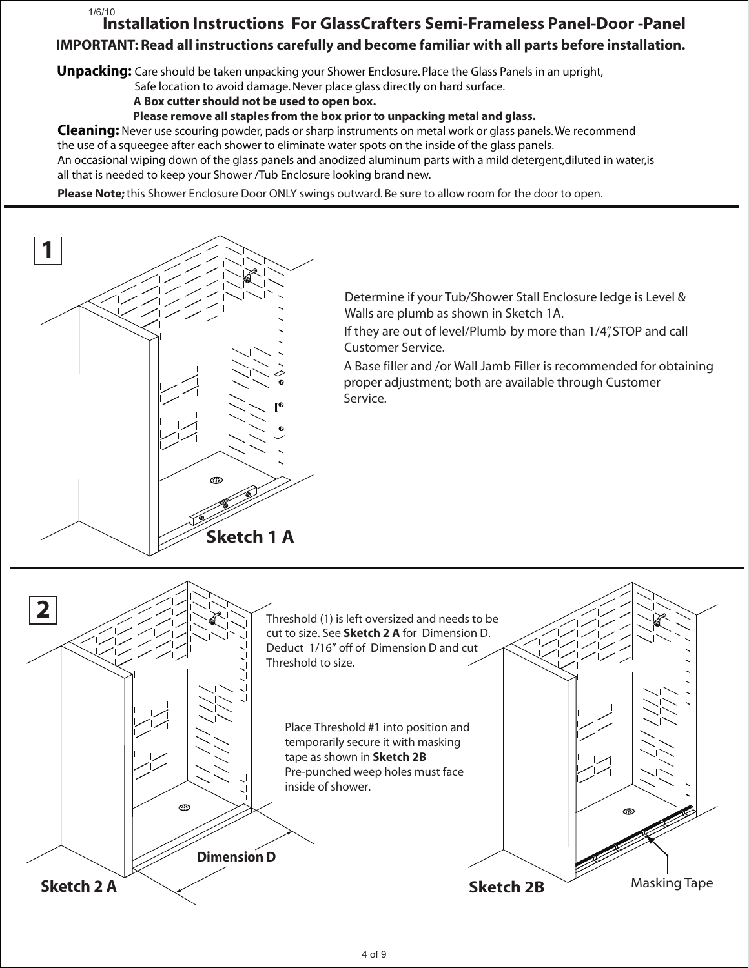#### **Installation Instructions For GlassCrafters Semi-Frameless Panel-Door -Panel IMPORTANT: Read all instructions carefully and become familiar with all parts before installation.** 1/6/10

**Unpacking:** Care should be taken unpacking your Shower Enclosure. Place the Glass Panels in an upright,

Safe location to avoid damage. Never place glass directly on hard surface.

 **A Box cutter should not be used to open box.**

 **Please remove all staples from the box prior to unpacking metal and glass.**

**Cleaning:** Never use scouring powder, pads or sharp instruments on metal work or glass panels. We recommend the use of a squeegee after each shower to eliminate water spots on the inside of the glass panels.

An occasional wiping down of the glass panels and anodized aluminum parts with a mild detergent,diluted in water,is all that is needed to keep your Shower /Tub Enclosure looking brand new.

**Please Note;** this Shower Enclosure Door ONLY swings outward. Be sure to allow room for the door to open.



Determine if your Tub/Shower Stall Enclosure ledge is Level & Walls are plumb as shown in Sketch 1A.

If they are out of level/Plumb by more than 1/4", STOP and call Customer Service.

A Base filler and /or Wall Jamb Filler is recommended for obtaining proper adjustment; both are available through Customer Service.

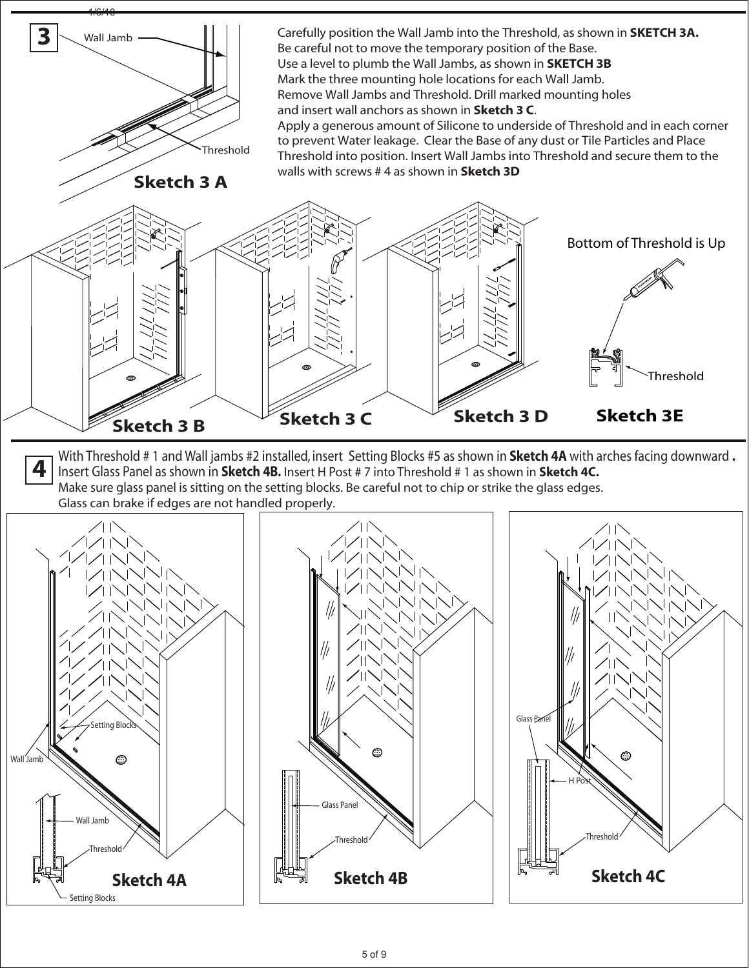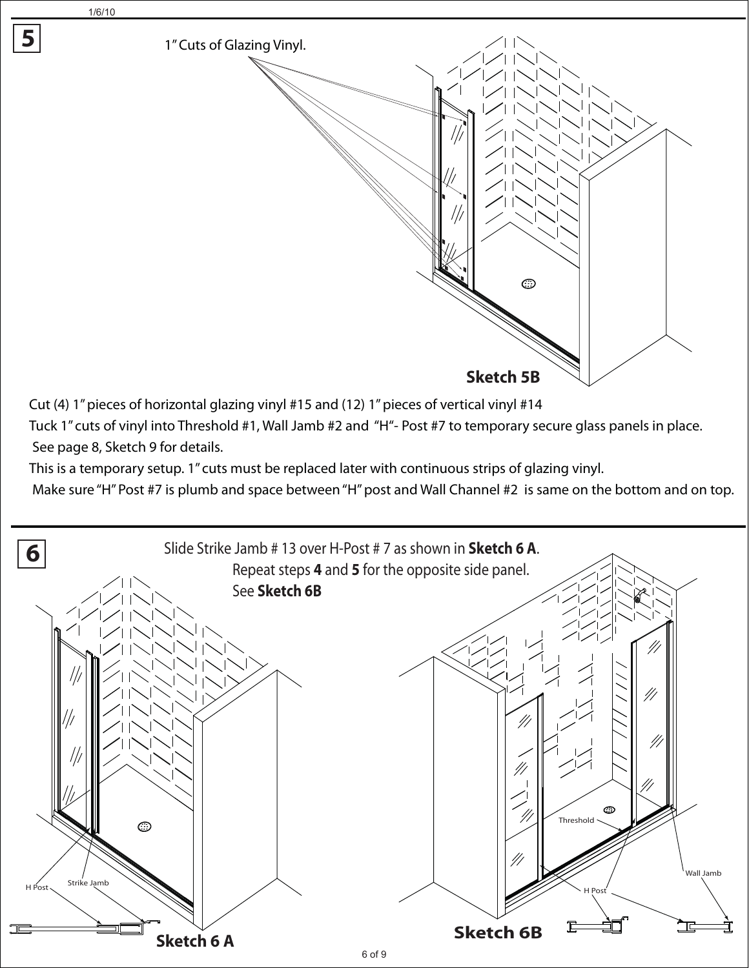1/6/10

**5**



Cut (4) 1" pieces of horizontal glazing vinyl #15 and (12) 1" pieces of vertical vinyl #14

Tuck 1" cuts of vinyl into Threshold #1, Wall Jamb #2 and "H"- Post #7 to temporary secure glass panels in place. See page 8, Sketch 9 for details.

This is a temporary setup. 1" cuts must be replaced later with continuous strips of glazing vinyl.

Make sure "H" Post #7 is plumb and space between "H" post and Wall Channel #2 is same on the bottom and on top.

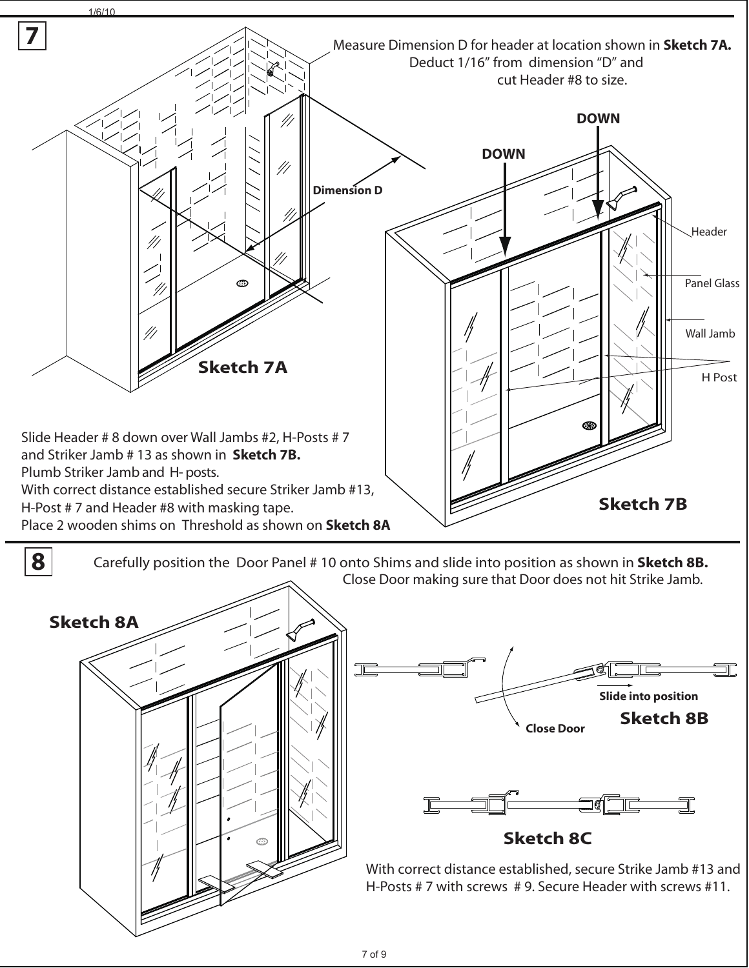

**8** Carefully position the Door Panel # 10 onto Shims and slide into position as shown in **Sketch 8B.** Close Door making sure that Door does not hit Strike Jamb.

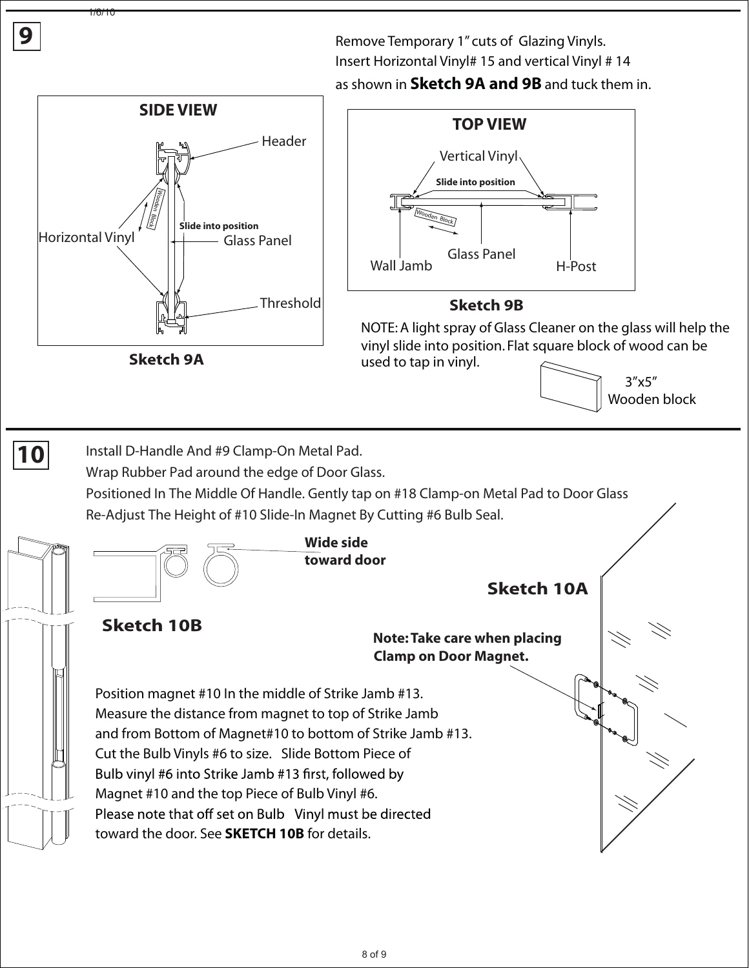Remove Temporary 1" cuts of Glazing Vinyls. Insert Horizontal Vinyl# 15 and vertical Vinyl # 14

as shown in **Sketch 9A and 9B** and tuck them in.



**9**

1/6/10

8 of 9